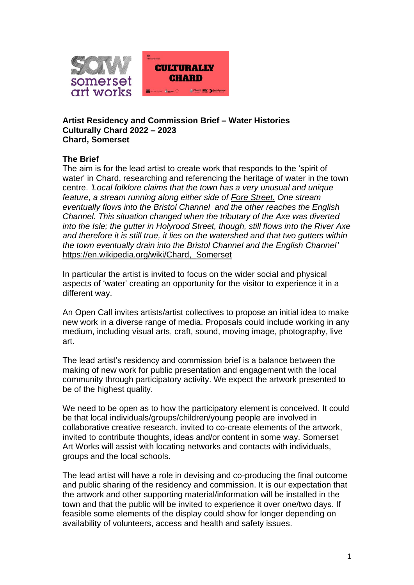

#### **Artist Residency and Commission Brief – Water Histories Culturally Chard 2022 – 2023 Chard, Somerset**

### **The Brief**

The aim is for the lead artist to create work that responds to the 'spirit of water' in Chard, researching and referencing the heritage of water in the town centre. *'Local folklore claims that the town has a very unusual and unique feature, a stream running along either side of [Fore Street.](https://en.wikipedia.org/wiki/Fore_Street,_Chard) One stream eventually flows into the Bristol Channel and the other reaches the English Channel. This situation changed when the tributary of the Axe was diverted into the Isle; the gutter in Holyrood Street, though, still flows into the River Axe and therefore it is still true, it lies on the watershed and that two gutters within the town eventually drain into the Bristol Channel and the English Channel'* [https://en.wikipedia.org/wiki/Chard,\\_Somerset](https://en.wikipedia.org/wiki/Chard,_Somerset)

In particular the artist is invited to focus on the wider social and physical aspects of 'water' creating an opportunity for the visitor to experience it in a different way.

An Open Call invites artists/artist collectives to propose an initial idea to make new work in a diverse range of media. Proposals could include working in any medium, including visual arts, craft, sound, moving image, photography, live art.

The lead artist's residency and commission brief is a balance between the making of new work for public presentation and engagement with the local community through participatory activity. We expect the artwork presented to be of the highest quality.

We need to be open as to how the participatory element is conceived. It could be that local individuals/groups/children/young people are involved in collaborative creative research, invited to co-create elements of the artwork, invited to contribute thoughts, ideas and/or content in some way. Somerset Art Works will assist with locating networks and contacts with individuals, groups and the local schools.

The lead artist will have a role in devising and co-producing the final outcome and public sharing of the residency and commission. It is our expectation that the artwork and other supporting material/information will be installed in the town and that the public will be invited to experience it over one/two days. If feasible some elements of the display could show for longer depending on availability of volunteers, access and health and safety issues.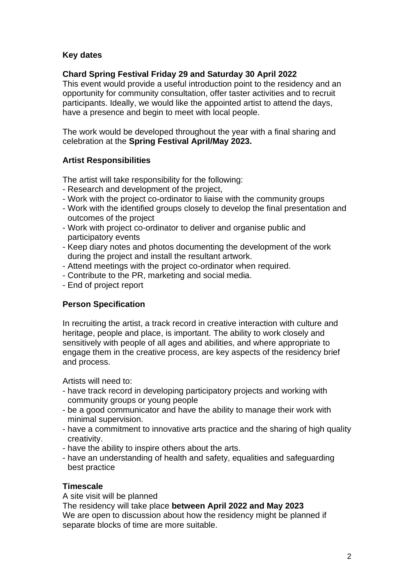## **Key dates**

## **Chard Spring Festival Friday 29 and Saturday 30 April 2022**

This event would provide a useful introduction point to the residency and an opportunity for community consultation, offer taster activities and to recruit participants. Ideally, we would like the appointed artist to attend the days, have a presence and begin to meet with local people.

The work would be developed throughout the year with a final sharing and celebration at the **Spring Festival April/May 2023.**

## **Artist Responsibilities**

The artist will take responsibility for the following:

- Research and development of the project,
- Work with the project co-ordinator to liaise with the community groups
- Work with the identified groups closely to develop the final presentation and outcomes of the project
- Work with project co-ordinator to deliver and organise public and participatory events
- Keep diary notes and photos documenting the development of the work during the project and install the resultant artwork.
- Attend meetings with the project co-ordinator when required.
- Contribute to the PR, marketing and social media.
- End of project report

### **Person Specification**

In recruiting the artist, a track record in creative interaction with culture and heritage, people and place, is important. The ability to work closely and sensitively with people of all ages and abilities, and where appropriate to engage them in the creative process, are key aspects of the residency brief and process.

Artists will need to:

- have track record in developing participatory projects and working with community groups or young people
- be a good communicator and have the ability to manage their work with minimal supervision.
- have a commitment to innovative arts practice and the sharing of high quality creativity.
- have the ability to inspire others about the arts.
- have an understanding of health and safety, equalities and safeguarding best practice

### **Timescale**

A site visit will be planned The residency will take place **between April 2022 and May 2023** We are open to discussion about how the residency might be planned if separate blocks of time are more suitable.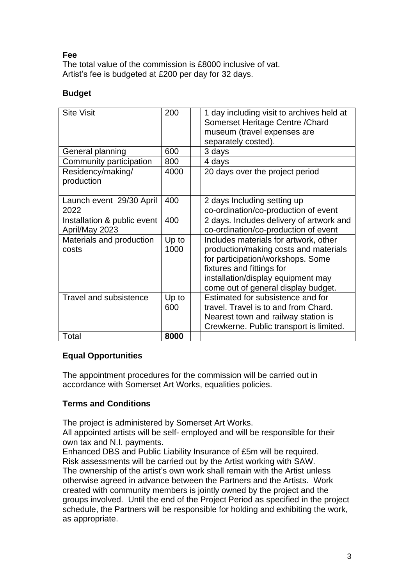### **Fee**

The total value of the commission is £8000 inclusive of vat. Artist's fee is budgeted at £200 per day for 32 days.

### **Budget**

| <b>Site Visit</b>               | 200   | 1 day including visit to archives held at<br>Somerset Heritage Centre / Chard<br>museum (travel expenses are<br>separately costed). |
|---------------------------------|-------|-------------------------------------------------------------------------------------------------------------------------------------|
| General planning                | 600   | 3 days                                                                                                                              |
| Community participation         | 800   | 4 days                                                                                                                              |
| Residency/making/<br>production | 4000  | 20 days over the project period                                                                                                     |
| Launch event 29/30 April        | 400   | 2 days Including setting up                                                                                                         |
| 2022                            |       | co-ordination/co-production of event                                                                                                |
| Installation & public event     | 400   | 2 days. Includes delivery of artwork and                                                                                            |
| April/May 2023                  |       | co-ordination/co-production of event                                                                                                |
| Materials and production        | Up to | Includes materials for artwork, other                                                                                               |
| costs                           | 1000  | production/making costs and materials                                                                                               |
|                                 |       | for participation/workshops. Some                                                                                                   |
|                                 |       | fixtures and fittings for                                                                                                           |
|                                 |       | installation/display equipment may                                                                                                  |
|                                 |       | come out of general display budget.                                                                                                 |
| <b>Travel and subsistence</b>   | Up to | Estimated for subsistence and for                                                                                                   |
|                                 | 600   | travel. Travel is to and from Chard.                                                                                                |
|                                 |       | Nearest town and railway station is                                                                                                 |
|                                 |       | Crewkerne. Public transport is limited.                                                                                             |
| Total                           | 8000  |                                                                                                                                     |

### **Equal Opportunities**

The appointment procedures for the commission will be carried out in accordance with Somerset Art Works, equalities policies.

### **Terms and Conditions**

The project is administered by Somerset Art Works.

All appointed artists will be self- employed and will be responsible for their own tax and N.I. payments.

Enhanced DBS and Public Liability Insurance of £5m will be required. Risk assessments will be carried out by the Artist working with SAW. The ownership of the artist's own work shall remain with the Artist unless otherwise agreed in advance between the Partners and the Artists. Work created with community members is jointly owned by the project and the groups involved. Until the end of the Project Period as specified in the project schedule, the Partners will be responsible for holding and exhibiting the work, as appropriate.